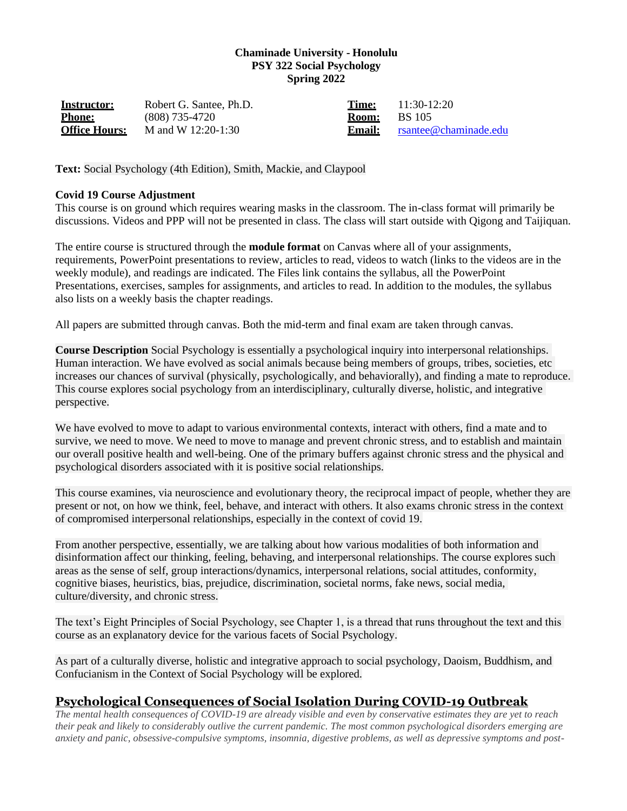## **Chaminade University - Honolulu PSY 322 Social Psychology Spring 2022**

| <b>Instructor:</b> | Robert G. Santee, Ph.D.                   | Time:               | 11:30-12:20                         |
|--------------------|-------------------------------------------|---------------------|-------------------------------------|
| <b>Phone:</b>      | $(808)$ 735-4720                          | <b>Room:</b> BS 105 |                                     |
|                    | <b>Office Hours:</b> M and W $12:20-1:30$ |                     | <b>Email:</b> rsantee@chaminade.edu |

**Text:** Social Psychology (4th Edition), Smith, Mackie, and Claypool

#### **Covid 19 Course Adjustment**

This course is on ground which requires wearing masks in the classroom. The in-class format will primarily be discussions. Videos and PPP will not be presented in class. The class will start outside with Qigong and Taijiquan.

The entire course is structured through the **module format** on Canvas where all of your assignments, requirements, PowerPoint presentations to review, articles to read, videos to watch (links to the videos are in the weekly module), and readings are indicated. The Files link contains the syllabus, all the PowerPoint Presentations, exercises, samples for assignments, and articles to read. In addition to the modules, the syllabus also lists on a weekly basis the chapter readings.

All papers are submitted through canvas. Both the mid-term and final exam are taken through canvas.

**Course Description** Social Psychology is essentially a psychological inquiry into interpersonal relationships. Human interaction. We have evolved as social animals because being members of groups, tribes, societies, etc increases our chances of survival (physically, psychologically, and behaviorally), and finding a mate to reproduce. This course explores social psychology from an interdisciplinary, culturally diverse, holistic, and integrative perspective.

We have evolved to move to adapt to various environmental contexts, interact with others, find a mate and to survive, we need to move. We need to move to manage and prevent chronic stress, and to establish and maintain our overall positive health and well-being. One of the primary buffers against chronic stress and the physical and psychological disorders associated with it is positive social relationships.

This course examines, via neuroscience and evolutionary theory, the reciprocal impact of people, whether they are present or not, on how we think, feel, behave, and interact with others. It also exams chronic stress in the context of compromised interpersonal relationships, especially in the context of covid 19.

From another perspective, essentially, we are talking about how various modalities of both information and disinformation affect our thinking, feeling, behaving, and interpersonal relationships. The course explores such areas as the sense of self, group interactions/dynamics, interpersonal relations, social attitudes, conformity, cognitive biases, heuristics, bias, prejudice, discrimination, societal norms, fake news, social media, culture/diversity, and chronic stress.

The text's Eight Principles of Social Psychology, see Chapter 1, is a thread that runs throughout the text and this course as an explanatory device for the various facets of Social Psychology.

As part of a culturally diverse, holistic and integrative approach to social psychology, Daoism, Buddhism, and Confucianism in the Context of Social Psychology will be explored.

# **Psychological Consequences of Social Isolation During COVID-19 Outbreak**

*The mental health consequences of COVID-19 are already visible and even by conservative estimates they are yet to reach their peak and likely to considerably outlive the current pandemic. The most common psychological disorders emerging are anxiety and panic, obsessive-compulsive symptoms, insomnia, digestive problems, as well as depressive symptoms and post-*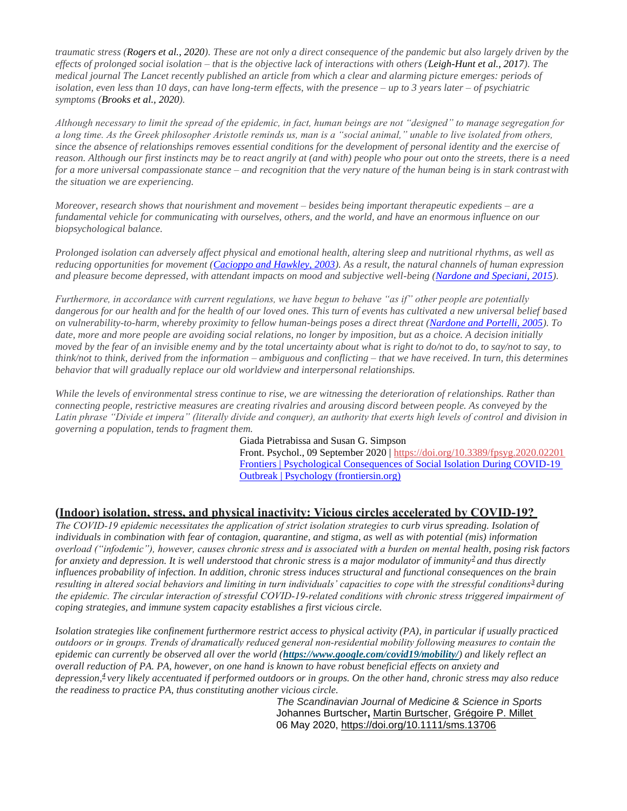*traumatic stress [\(Rogers et al., 2020\)](https://www.frontiersin.org/articles/10.3389/fpsyg.2020.02201/full#ref26). These are not only a direct consequence of the pandemic but also largely driven by the effects of prolonged social isolation – that is the objective lack of interactions with others [\(Leigh-Hunt et al., 2017\)](https://www.frontiersin.org/articles/10.3389/fpsyg.2020.02201/full#ref19). The medical journal The Lancet recently published an article from which a clear and alarming picture emerges: periods of isolation, even less than 10 days, can have long-term effects, with the presence – up to 3 years later – of psychiatric symptoms [\(Brooks et al., 2020\)](https://www.frontiersin.org/articles/10.3389/fpsyg.2020.02201/full#ref3).*

*Although necessary to limit the spread of the epidemic, in fact, human beings are not "designed" to manage segregation for a long time. As the Greek philosopher Aristotle reminds us, man is a "social animal," unable to live isolated from others, since the absence of relationships removes essential conditions for the development of personal identity and the exercise of reason. Although our first instincts may be to react angrily at (and with) people who pour out onto the streets, there is a need for a more universal compassionate stance – and recognition that the very nature of the human being is in stark contrastwith the situation we are experiencing.*

*Moreover, research shows that nourishment and movement – besides being important therapeutic expedients – are a fundamental vehicle for communicating with ourselves, others, and the world, and have an enormous influence on our biopsychological balance.*

*Prolonged isolation can adversely affect physical and emotional health, altering sleep and nutritional rhythms, as well as reducing opportunities for movement [\(Cacioppo and Hawkley, 2003\)](https://www.frontiersin.org/articles/10.3389/fpsyg.2020.02201/full#ref6). As a result, the natural channels of human expression and pleasure become depressed, with attendant impacts on mood and subjective well-being [\(Nardone and Speciani, 2015\)](https://www.frontiersin.org/articles/10.3389/fpsyg.2020.02201/full#ref25).*

*Furthermore, in accordance with current regulations, we have begun to behave "as if" other people are potentially dangerous for our health and for the health of our loved ones. This turn of events has cultivated a new universal belief based on vulnerability-to-harm, whereby proximity to fellow human-beings poses a direct threat [\(Nardone and Portelli, 2005\)](https://www.frontiersin.org/articles/10.3389/fpsyg.2020.02201/full#ref24). To date, more and more people are avoiding social relations, no longer by imposition, but as a choice. A decision initially moved by the fear of an invisible enemy and by the total uncertainty about what is right to do/not to do, to say/not to say, to think/not to think, derived from the information – ambiguous and conflicting – that we have received. In turn, this determines behavior that will gradually replace our old worldview and interpersonal relationships.*

*While the levels of environmental stress continue to rise, we are witnessing the deterioration of relationships. Rather than connecting people, restrictive measures are creating rivalries and arousing discord between people. As conveyed by the*  Latin phrase "Divide et impera" (literally divide and conquer), an authority that exerts high levels of control and division in *governing a population, tends to fragment them.*

> [Giada Pietrabissa](https://www.frontiersin.org/people/u/65842) and Susan G. Simpson Front. Psychol., 09 September 2020 [| https://doi.org/10.3389/fpsyg.2020.02201](https://doi.org/10.3389/fpsyg.2020.02201) [Frontiers | Psychological Consequences of Social Isolation During COVID-19](https://www.frontiersin.org/articles/10.3389/fpsyg.2020.02201/full) [Outbreak | Psychology \(frontiersin.org\)](https://www.frontiersin.org/articles/10.3389/fpsyg.2020.02201/full)

## **(Indoor) isolation, stress, and physical inactivity: Vicious circles accelerated by COVID‐19?**

*The COVID‐19 epidemic necessitates the application of strict isolation strategies to curb virus spreading. Isolation of individuals in combination with fear of contagion, quarantine, and stigma, as well as with potential (mis) information overload ("infodemic"), however, causes chronic stress and is associated with a burden on mental health, posing risk factors for anxiety and depression. It is well understood that chronic stress is a major modulator of immunity[2](https://onlinelibrary.wiley.com/doi/full/10.1111/sms.13706#sms13706-bib-0002) and thus directly influences probability of infection. In addition, chronic stress induces structural and functional consequences on the brain resulting in altered social behaviors and limiting in turn individuals' capacities to cope with the stressful conditions[3](https://onlinelibrary.wiley.com/doi/full/10.1111/sms.13706#sms13706-bib-0003) during the epidemic. The circular interaction of stressful COVID‐19‐related conditions with chronic stress triggered impairment of coping strategies, and immune system capacity establishes a first vicious circle.*

*Isolation strategies like confinement furthermore restrict access to physical activity (PA), in particular if usually practiced outdoors or in groups. Trends of dramatically reduced general non‐residential mobility following measures to contain the epidemic can currently be observed all over the world (<https://www.google.com/covid19/mobility/>) and likely reflect an overall reduction of PA. PA, however, on one hand is known to have robust beneficial effects on anxiety and depressio[n,](https://onlinelibrary.wiley.com/doi/full/10.1111/sms.13706#sms13706-bib-0004) [4](https://onlinelibrary.wiley.com/doi/full/10.1111/sms.13706#sms13706-bib-0004) very likely accentuated if performed outdoors or in groups. On the other hand, chronic stress may also reduce the readiness to practice PA, thus constituting another vicious circle.*

*The Scandinavian Journal of Medicine & Science in Sports*  [Johannes Burtscher](https://onlinelibrary.wiley.com/action/doSearch?ContribAuthorStored=Burtscher%2C%2BJohannes)**,** [Martin Burtscher,](https://onlinelibrary.wiley.com/action/doSearch?ContribAuthorStored=Burtscher%2C%2BMartin) [Grégoire P. Millet](https://onlinelibrary.wiley.com/action/doSearch?ContribAuthorStored=Millet%2C%2BGr%C3%A9goire%2BP) 06 May 2020,<https://doi.org/10.1111/sms.13706>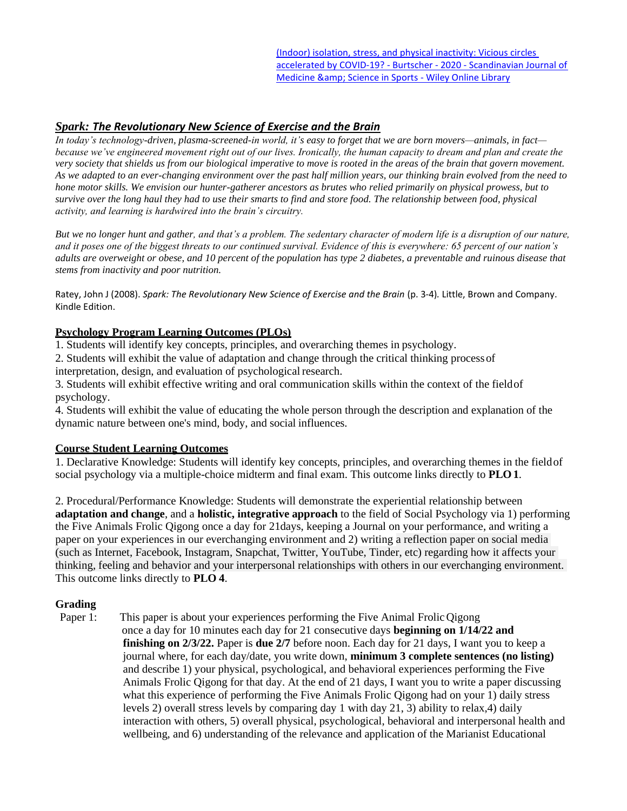# *Spark: The Revolutionary New Science of Exercise and the Brain*

*In today's technology-driven, plasma-screened-in world, it's easy to forget that we are born movers—animals, in fact because we've engineered movement right out of our lives. Ironically, the human capacity to dream and plan and create the very society that shields us from our biological imperative to move is rooted in the areas of the brain that govern movement. As we adapted to an ever-changing environment over the past half million years, our thinking brain evolved from the need to hone motor skills. We envision our hunter-gatherer ancestors as brutes who relied primarily on physical prowess, but to survive over the long haul they had to use their smarts to find and store food. The relationship between food, physical activity, and learning is hardwired into the brain's circuitry.*

*But we no longer hunt and gather, and that's a problem. The sedentary character of modern life is a disruption of our nature, and it poses one of the biggest threats to our continued survival. Evidence of this is everywhere: 65 percent of our nation's adults are overweight or obese, and 10 percent of the population has type 2 diabetes, a preventable and ruinous disease that stems from inactivity and poor nutrition.*

Ratey, John J (2008). *Spark: The Revolutionary New Science of Exercise and the Brain* (p. 3-4)*.* Little, Brown and Company. Kindle Edition.

## **Psychology Program Learning Outcomes (PLOs)**

1. Students will identify key concepts, principles, and overarching themes in psychology.

2. Students will exhibit the value of adaptation and change through the critical thinking processof

interpretation, design, and evaluation of psychological research.

3. Students will exhibit effective writing and oral communication skills within the context of the fieldof psychology.

4. Students will exhibit the value of educating the whole person through the description and explanation of the dynamic nature between one's mind, body, and social influences.

## **Course Student Learning Outcomes**

1. Declarative Knowledge: Students will identify key concepts, principles, and overarching themes in the fieldof social psychology via a multiple-choice midterm and final exam. This outcome links directly to **PLO1**.

2. Procedural/Performance Knowledge: Students will demonstrate the experiential relationship between **adaptation and change**, and a **holistic, integrative approach** to the field of Social Psychology via 1) performing the Five Animals Frolic Qigong once a day for 21days, keeping a Journal on your performance, and writing a paper on your experiences in our everchanging environment and 2) writing a reflection paper on social media (such as Internet, Facebook, Instagram, Snapchat, Twitter, YouTube, Tinder, etc) regarding how it affects your thinking, feeling and behavior and your interpersonal relationships with others in our everchanging environment. This outcome links directly to **PLO 4**.

# **Grading**

Paper 1: This paper is about your experiences performing the Five Animal FrolicQigong once a day for 10 minutes each day for 21 consecutive days **beginning on 1/14/22 and finishing on 2/3/22.** Paper is **due 2/7** before noon. Each day for 21 days, I want you to keep a journal where, for each day/date, you write down, **minimum 3 complete sentences (no listing)**  and describe 1) your physical, psychological, and behavioral experiences performing the Five Animals Frolic Qigong for that day. At the end of 21 days, I want you to write a paper discussing what this experience of performing the Five Animals Frolic Qigong had on your 1) daily stress levels 2) overall stress levels by comparing day 1 with day 21, 3) ability to relax,4) daily interaction with others, 5) overall physical, psychological, behavioral and interpersonal health and wellbeing, and 6) understanding of the relevance and application of the Marianist Educational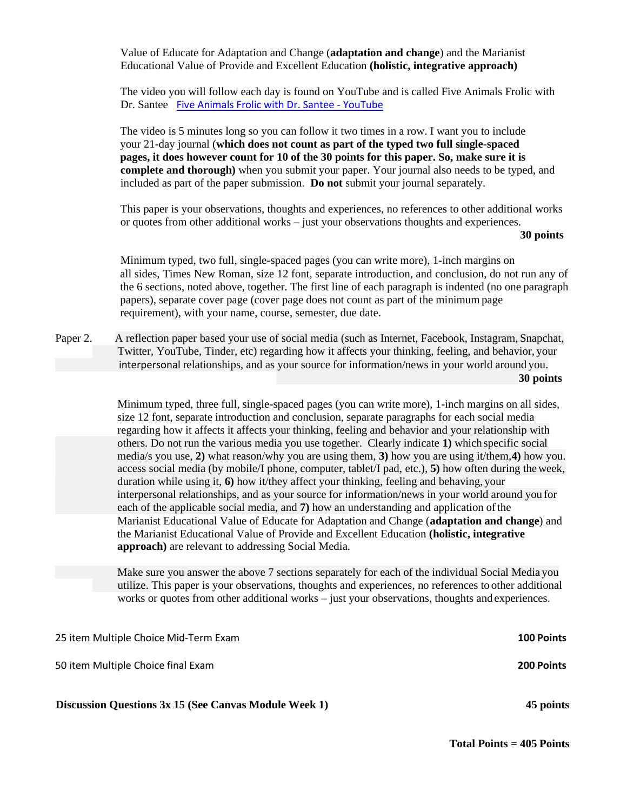Value of Educate for Adaptation and Change (**adaptation and change**) and the Marianist Educational Value of Provide and Excellent Education **(holistic, integrative approach)**

The video you will follow each day is found on YouTube and is called Five Animals Frolic with Dr. Santee [Five Animals Frolic with Dr. Santee -](https://www.youtube.com/watch?v=x5RELL84J4E) YouTube

The video is 5 minutes long so you can follow it two times in a row. I want you to include your 21-day journal (**which does not count as part of the typed two full single-spaced pages, it does however count for 10 of the 30 points for this paper. So, make sure it is complete and thorough)** when you submit your paper. Your journal also needs to be typed, and included as part of the paper submission. **Do not** submit your journal separately.

This paper is your observations, thoughts and experiences, no references to other additional works or quotes from other additional works – just your observations thoughts and experiences.

**30 points**

Minimum typed, two full, single-spaced pages (you can write more), 1-inch margins on all sides, Times New Roman, size 12 font, separate introduction, and conclusion, do not run any of the 6 sections, noted above, together. The first line of each paragraph is indented (no one paragraph papers), separate cover page (cover page does not count as part of the minimum page requirement), with your name, course, semester, due date.

Paper 2. A reflection paper based your use of social media (such as Internet, Facebook, Instagram, Snapchat, Twitter, YouTube, Tinder, etc) regarding how it affects your thinking, feeling, and behavior, your interpersonal relationships, and as your source for information/news in your world around you. **30 points**

> Minimum typed, three full, single-spaced pages (you can write more), 1-inch margins on all sides, size 12 font, separate introduction and conclusion, separate paragraphs for each social media regarding how it affects it affects your thinking, feeling and behavior and your relationship with others. Do not run the various media you use together. Clearly indicate **1)** which specific social media/s you use, **2)** what reason/why you are using them, **3)** how you are using it/them,**4)** how you. access social media (by mobile/I phone, computer, tablet/I pad, etc.), **5)** how often during theweek, duration while using it, **6)** how it/they affect your thinking, feeling and behaving, your interpersonal relationships, and as your source for information/news in your world around you for each of the applicable social media, and **7)** how an understanding and application ofthe Marianist Educational Value of Educate for Adaptation and Change (**adaptation and change**) and the Marianist Educational Value of Provide and Excellent Education **(holistic, integrative approach)** are relevant to addressing Social Media.

> Make sure you answer the above 7 sections separately for each of the individual Social Media you utilize. This paper is your observations, thoughts and experiences, no references to other additional works or quotes from other additional works – just your observations, thoughts and experiences.

| Discussion Questions 3x 15 (See Canvas Module Week 1) | 45 points         |
|-------------------------------------------------------|-------------------|
| 50 item Multiple Choice final Exam                    | <b>200 Points</b> |
| 25 item Multiple Choice Mid-Term Exam                 | <b>100 Points</b> |

**Total Points = 405 Points**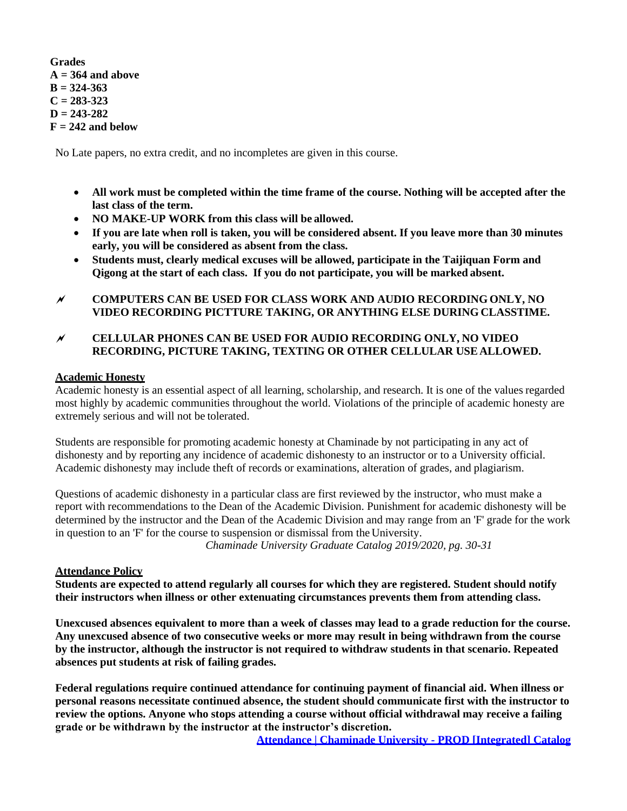**Grades A = 364 and above B = 324-363**   $C = 283 - 323$ **D = 243-282**   $F = 242$  and below

No Late papers, no extra credit, and no incompletes are given in this course.

- **All work must be completed within the time frame of the course. Nothing will be accepted after the last class of the term.**
- **NO MAKE-UP WORK from this class will be allowed.**
- **If you are late when roll is taken, you will be considered absent. If you leave more than 30 minutes early, you will be considered as absent from the class.**
- **Students must, clearly medical excuses will be allowed, participate in the Taijiquan Form and Qigong at the start of each class. If you do not participate, you will be marked absent.**
- **COMPUTERS CAN BE USED FOR CLASS WORK AND AUDIO RECORDING ONLY, NO VIDEO RECORDING PICTTURE TAKING, OR ANYTHING ELSE DURING CLASSTIME.**

# **CELLULAR PHONES CAN BE USED FOR AUDIO RECORDING ONLY, NO VIDEO RECORDING, PICTURE TAKING, TEXTING OR OTHER CELLULAR USE ALLOWED.**

## **Academic Honesty**

Academic honesty is an essential aspect of all learning, scholarship, and research. It is one of the values regarded most highly by academic communities throughout the world. Violations of the principle of academic honesty are extremely serious and will not be tolerated.

Students are responsible for promoting academic honesty at Chaminade by not participating in any act of dishonesty and by reporting any incidence of academic dishonesty to an instructor or to a University official. Academic dishonesty may include theft of records or examinations, alteration of grades, and plagiarism.

Questions of academic dishonesty in a particular class are first reviewed by the instructor, who must make a report with recommendations to the Dean of the Academic Division. Punishment for academic dishonesty will be determined by the instructor and the Dean of the Academic Division and may range from an 'F' grade for the work in question to an 'F' for the course to suspension or dismissal from the University.

*Chaminade University Graduate Catalog 2019/2020, pg. 30-31*

## **Attendance Policy**

**Students are expected to attend regularly all courses for which they are registered. Student should notify their instructors when illness or other extenuating circumstances prevents them from attending class.**

**Unexcused absences equivalent to more than a week of classes may lead to a grade reduction for the course. Any unexcused absence of two consecutive weeks or more may result in being withdrawn from the course by the instructor, although the instructor is not required to withdraw students in that scenario. Repeated absences put students at risk of failing grades.**

**Federal regulations require continued attendance for continuing payment of financial aid. When illness or personal reasons necessitate continued absence, the student should communicate first with the instructor to review the options. Anyone who stops attending a course without official withdrawal may receive a failing grade or be withdrawn by the instructor at the instructor's discretion.**

**[Attendance | Chaminade University -](https://catalog.chaminade.edu/generalinformation/academicaffairs/policies/attendance) PROD [Integrated] Catalog**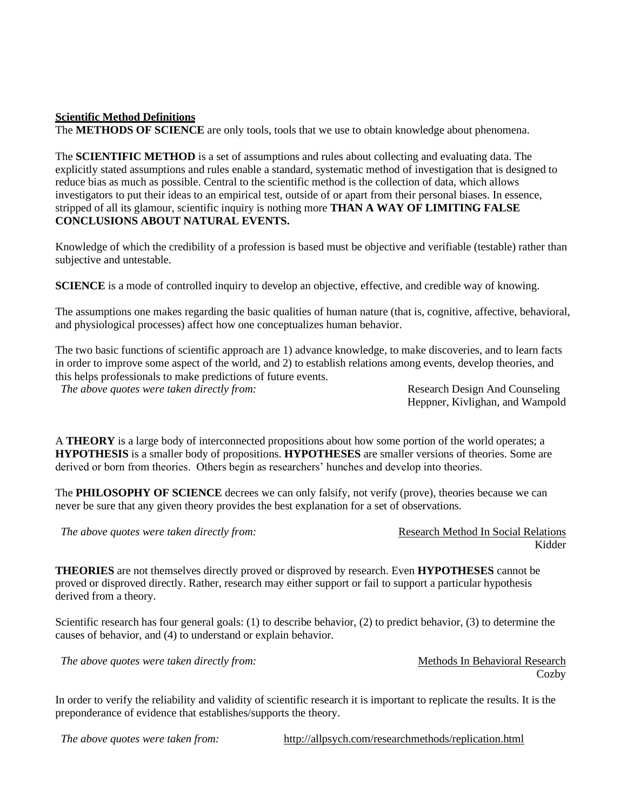#### **Scientific Method Definitions**

The **METHODS OF SCIENCE** are only tools, tools that we use to obtain knowledge about phenomena.

The **SCIENTIFIC METHOD** is a set of assumptions and rules about collecting and evaluating data. The explicitly stated assumptions and rules enable a standard, systematic method of investigation that is designed to reduce bias as much as possible. Central to the scientific method is the collection of data, which allows investigators to put their ideas to an empirical test, outside of or apart from their personal biases. In essence, stripped of all its glamour, scientific inquiry is nothing more **THAN A WAY OF LIMITING FALSE CONCLUSIONS ABOUT NATURAL EVENTS.**

Knowledge of which the credibility of a profession is based must be objective and verifiable (testable) rather than subjective and untestable.

**SCIENCE** is a mode of controlled inquiry to develop an objective, effective, and credible way of knowing.

The assumptions one makes regarding the basic qualities of human nature (that is, cognitive, affective, behavioral, and physiological processes) affect how one conceptualizes human behavior.

The two basic functions of scientific approach are 1) advance knowledge, to make discoveries, and to learn facts in order to improve some aspect of the world, and 2) to establish relations among events, develop theories, and this helps professionals to make predictions of future events.

*The above quotes were taken directly from:* Research Design And Counseling

Heppner, Kivlighan, and Wampold

A **THEORY** is a large body of interconnected propositions about how some portion of the world operates; a **HYPOTHESIS** is a smaller body of propositions. **HYPOTHESES** are smaller versions of theories. Some are derived or born from theories. Others begin as researchers' hunches and develop into theories.

The **PHILOSOPHY OF SCIENCE** decrees we can only falsify, not verify (prove), theories because we can never be sure that any given theory provides the best explanation for a set of observations.

*The above quotes were taken directly from:* Research Method In Social Relations

Kidder

**THEORIES** are not themselves directly proved or disproved by research. Even **HYPOTHESES** cannot be proved or disproved directly. Rather, research may either support or fail to support a particular hypothesis derived from a theory.

Scientific research has four general goals: (1) to describe behavior, (2) to predict behavior, (3) to determine the causes of behavior, and (4) to understand or explain behavior.

*The above quotes were taken directly from:* Methods In Behavioral Research

**Cozby** 

In order to verify the reliability and validity of scientific research it is important to replicate the results. It is the preponderance of evidence that establishes/supports the theory.

*The above quotes were taken from:* <http://allpsych.com/researchmethods/replication.html>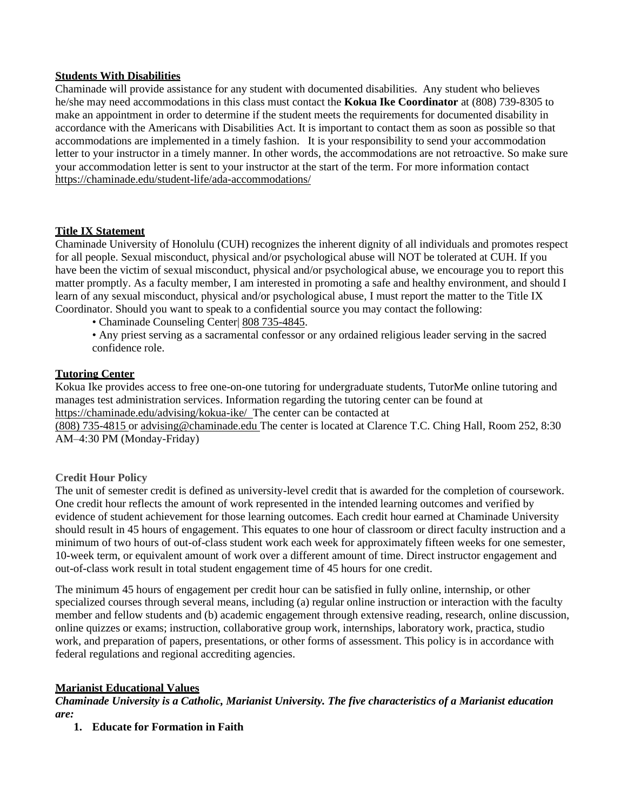#### **Students With Disabilities**

Chaminade will provide assistance for any student with documented disabilities. Any student who believes he/she may need accommodations in this class must contact the **Kokua Ike Coordinator** at (808) 739-8305 to make an appointment in order to determine if the student meets the requirements for documented disability in accordance with the Americans with Disabilities Act. It is important to contact them as soon as possible so that accommodations are implemented in a timely fashion. It is your responsibility to send your accommodation letter to your instructor in a timely manner. In other words, the accommodations are not retroactive. So make sure your accommodation letter is sent to your instructor at the start of the term. For more information contact <https://chaminade.edu/student-life/ada-accommodations/>

## **Title IX Statement**

Chaminade University of Honolulu (CUH) recognizes the inherent dignity of all individuals and promotes respect for all people. Sexual misconduct, physical and/or psychological abuse will NOT be tolerated at CUH. If you have been the victim of sexual misconduct, physical and/or psychological abuse, we encourage you to report this matter promptly. As a faculty member, I am interested in promoting a safe and healthy environment, and should I learn of any sexual misconduct, physical and/or psychological abuse, I must report the matter to the Title IX Coordinator. Should you want to speak to a confidential source you may contact the following:

• Chaminade Counseling Center| 808 735-4845.

• Any priest serving as a sacramental confessor or any ordained religious leader serving in the sacred confidence role.

## **Tutoring Center**

Kokua Ike provides access to free one-on-one tutoring for undergraduate students, TutorMe online tutoring and manages test administration services. Information regarding the tutoring center can be found at <https://chaminade.edu/advising/kokua-ike/>The center can be contacted at

(808) 735-4815 or [advising@chaminade.edu T](mailto:advising@chaminade.edu)he center is located at Clarence T.C. Ching Hall, Room 252, 8:30 AM–4:30 PM (Monday-Friday)

## **Credit Hour Policy**

The unit of semester credit is defined as university-level credit that is awarded for the completion of coursework. One credit hour reflects the amount of work represented in the intended learning outcomes and verified by evidence of student achievement for those learning outcomes. Each credit hour earned at Chaminade University should result in 45 hours of engagement. This equates to one hour of classroom or direct faculty instruction and a minimum of two hours of out-of-class student work each week for approximately fifteen weeks for one semester, 10-week term, or equivalent amount of work over a different amount of time. Direct instructor engagement and out-of-class work result in total student engagement time of 45 hours for one credit.

The minimum 45 hours of engagement per credit hour can be satisfied in fully online, internship, or other specialized courses through several means, including (a) regular online instruction or interaction with the faculty member and fellow students and (b) academic engagement through extensive reading, research, online discussion, online quizzes or exams; instruction, collaborative group work, internships, laboratory work, practica, studio work, and preparation of papers, presentations, or other forms of assessment. This policy is in accordance with federal regulations and regional accrediting agencies.

## **Marianist Educational Values**

*Chaminade University is a Catholic, Marianist University. The five characteristics of a Marianist education are:*

**1. Educate for Formation in Faith**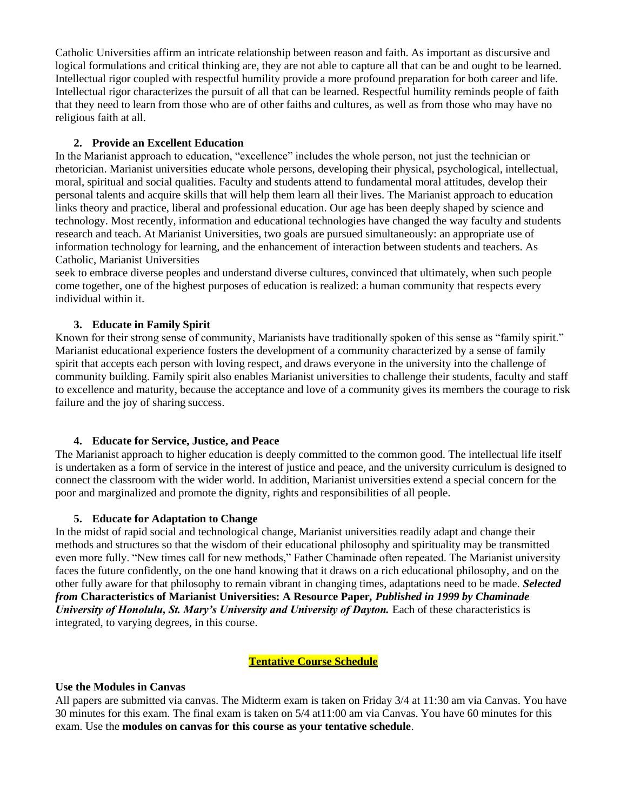Catholic Universities affirm an intricate relationship between reason and faith. As important as discursive and logical formulations and critical thinking are, they are not able to capture all that can be and ought to be learned. Intellectual rigor coupled with respectful humility provide a more profound preparation for both career and life. Intellectual rigor characterizes the pursuit of all that can be learned. Respectful humility reminds people of faith that they need to learn from those who are of other faiths and cultures, as well as from those who may have no religious faith at all.

## **2. Provide an Excellent Education**

In the Marianist approach to education, "excellence" includes the whole person, not just the technician or rhetorician. Marianist universities educate whole persons, developing their physical, psychological, intellectual, moral, spiritual and social qualities. Faculty and students attend to fundamental moral attitudes, develop their personal talents and acquire skills that will help them learn all their lives. The Marianist approach to education links theory and practice, liberal and professional education. Our age has been deeply shaped by science and technology. Most recently, information and educational technologies have changed the way faculty and students research and teach. At Marianist Universities, two goals are pursued simultaneously: an appropriate use of information technology for learning, and the enhancement of interaction between students and teachers. As Catholic, Marianist Universities

seek to embrace diverse peoples and understand diverse cultures, convinced that ultimately, when such people come together, one of the highest purposes of education is realized: a human community that respects every individual within it.

# **3. Educate in Family Spirit**

Known for their strong sense of community, Marianists have traditionally spoken of this sense as "family spirit." Marianist educational experience fosters the development of a community characterized by a sense of family spirit that accepts each person with loving respect, and draws everyone in the university into the challenge of community building. Family spirit also enables Marianist universities to challenge their students, faculty and staff to excellence and maturity, because the acceptance and love of a community gives its members the courage to risk failure and the joy of sharing success.

## **4. Educate for Service, Justice, and Peace**

The Marianist approach to higher education is deeply committed to the common good. The intellectual life itself is undertaken as a form of service in the interest of justice and peace, and the university curriculum is designed to connect the classroom with the wider world. In addition, Marianist universities extend a special concern for the poor and marginalized and promote the dignity, rights and responsibilities of all people.

## **5. Educate for Adaptation to Change**

In the midst of rapid social and technological change, Marianist universities readily adapt and change their methods and structures so that the wisdom of their educational philosophy and spirituality may be transmitted even more fully. "New times call for new methods," Father Chaminade often repeated. The Marianist university faces the future confidently, on the one hand knowing that it draws on a rich educational philosophy, and on the other fully aware for that philosophy to remain vibrant in changing times, adaptations need to be made. *Selected from* **Characteristics of Marianist Universities: A Resource Paper***, Published in 1999 by Chaminade University of Honolulu, St. Mary's University and University of Dayton.* Each of these characteristics is integrated, to varying degrees, in this course.

# **Tentative Course Schedule**

## **Use the Modules in Canvas**

All papers are submitted via canvas. The Midterm exam is taken on Friday 3/4 at 11:30 am via Canvas. You have 30 minutes for this exam. The final exam is taken on 5/4 at11:00 am via Canvas. You have 60 minutes for this exam. Use the **modules on canvas for this course as your tentative schedule**.